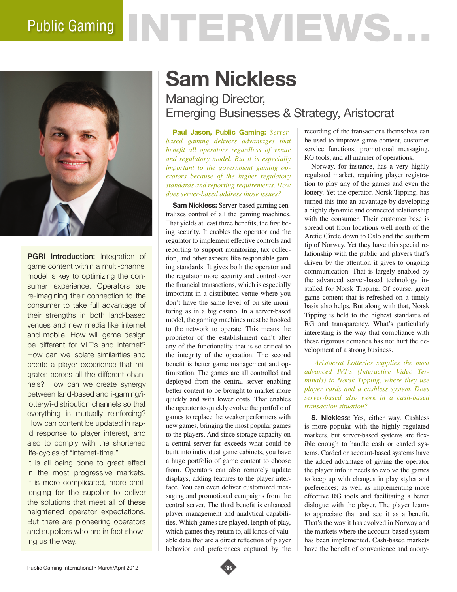# Public Gaming NTERVIEWS.



PGRI Introduction: Integration of game content within a multi-channel model is key to optimizing the consumer experience. Operators are re-imagining their connection to the consumer to take full advantage of their strengths in both land-based venues and new media like internet and mobile. How will game design be different for VLT's and internet? How can we isolate similarities and create a player experience that migrates across all the different channels? How can we create synergy between land-based and i-gaming/ilottery/i-distribution channels so that everything is mutually reinforcing? How can content be updated in rapid response to player interest, and also to comply with the shortened life-cycles of "internet-time."

It is all being done to great effect in the most progressive markets. It is more complicated, more challenging for the supplier to deliver the solutions that meet all of these heightened operator expectations. But there are pioneering operators and suppliers who are in fact showing us the way.

## **Sam Nickless**

### Managing Director, Emerging Businesses & Strategy, Aristocrat

**Paul Jason, Public Gaming:** *Serverbased gaming delivers advantages that benefit all operators regardless of venue and regulatory model. But it is especially important to the government gaming operators because of the higher regulatory standards and reporting requirements. How does server-based address those issues?* 

**Sam Nickless:** Server-based gaming centralizes control of all the gaming machines. That yields at least three benefits, the first being security. It enables the operator and the regulator to implement effective controls and reporting to support monitoring, tax collection, and other aspects like responsible gaming standards. It gives both the operator and the regulator more security and control over the financial transactions, which is especially important in a distributed venue where you don't have the same level of on-site monitoring as in a big casino. In a server-based model, the gaming machines must be hooked to the network to operate. This means the proprietor of the establishment can't alter any of the functionality that is so critical to the integrity of the operation. The second benefit is better game management and optimization. The games are all controlled and deployed from the central server enabling better content to be brought to market more quickly and with lower costs. That enables the operator to quickly evolve the portfolio of games to replace the weaker performers with new games, bringing the most popular games to the players. And since storage capacity on a central server far exceeds what could be built into individual game cabinets, you have a huge portfolio of game content to choose from. Operators can also remotely update displays, adding features to the player interface. You can even deliver customized messaging and promotional campaigns from the central server. The third benefit is enhanced player management and analytical capabilities. Which games are played, length of play, which games they return to, all kinds of valuable data that are a direct reflection of player behavior and preferences captured by the recording of the transactions themselves can be used to improve game content, customer service functions, promotional messaging, RG tools, and all manner of operations.

Norway, for instance, has a very highly regulated market, requiring player registration to play any of the games and even the lottery. Yet the operator, Norsk Tipping, has turned this into an advantage by developing a highly dynamic and connected relationship with the consumer. Their customer base is spread out from locations well north of the Arctic Circle down to Oslo and the southern tip of Norway. Yet they have this special relationship with the public and players that's driven by the attention it gives to ongoing communication. That is largely enabled by the advanced server-based technology installed for Norsk Tipping. Of course, great game content that is refreshed on a timely basis also helps. But along with that, Norsk Tipping is held to the highest standards of RG and transparency. What's particularly interesting is the way that compliance with these rigorous demands has not hurt the development of a strong business.

 *Aristocrat Lotteries supplies the most advanced IVT's (Interactive Video Terminals) to Norsk Tipping, where they use player cards and a cashless system. Does server-based also work in a cash-based transaction situation?* 

**S. Nickless:** Yes, either way. Cashless is more popular with the highly regulated markets, but server-based systems are flexible enough to handle cash or carded systems. Carded or account-based systems have the added advantage of giving the operator the player info it needs to evolve the games to keep up with changes in play styles and preferences; as well as implementing more effective RG tools and facilitating a better dialogue with the player. The player learns to appreciate that and see it as a benefit. That's the way it has evolved in Norway and the markets where the account-based system has been implemented. Cash-based markets have the benefit of convenience and anony-

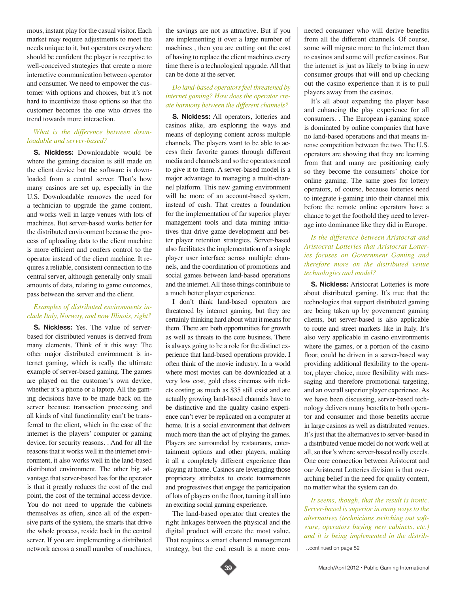mous, instant play for the casual visitor. Each market may require adjustments to meet the needs unique to it, but operators everywhere should be confident the player is receptive to well-conceived strategies that create a more interactive communication between operator and consumer. We need to empower the customer with options and choices, but it's not hard to incentivize those options so that the customer becomes the one who drives the trend towards more interaction.

#### *What is the difference between downloadable and server-based?*

**S. Nickless:** Downloadable would be where the gaming decision is still made on the client device but the software is downloaded from a central server. That's how many casinos are set up, especially in the U.S. Downloadable removes the need for a technician to upgrade the game content, and works well in large venues with lots of machines. But server-based works better for the distributed environment because the process of uploading data to the client machine is more efficient and confers control to the operator instead of the client machine. It requires a reliable, consistent connection to the central server, although generally only small amounts of data, relating to game outcomes, pass between the server and the client.

#### *Examples of distributed environments include Italy, Norway, and now Illinois, right?*

**S. Nickless:** Yes. The value of serverbased for distributed venues is derived from many elements. Think of it this way: The other major distributed environment is internet gaming, which is really the ultimate example of server-based gaming. The games are played on the customer's own device, whether it's a phone or a laptop. All the gaming decisions have to be made back on the server because transaction processing and all kinds of vital functionality can't be transferred to the client, which in the case of the internet is the players' computer or gaming device, for security reasons. . And for all the reasons that it works well in the internet environment, it also works well in the land-based distributed environment. The other big advantage that server-based has for the operator is that it greatly reduces the cost of the end point, the cost of the terminal access device. You do not need to upgrade the cabinets themselves as often, since all of the expensive parts of the system, the smarts that drive the whole process, reside back in the central server. If you are implementing a distributed network across a small number of machines,

the savings are not as attractive. But if you are implementing it over a large number of machines , then you are cutting out the cost of having to replace the client machines every time there is a technological upgrade. All that can be done at the server.

#### *Do land-based operators feel threatened by internet gaming? How does the operator create harmony between the different channels?*

**S. Nickless:** All operators, lotteries and casinos alike, are exploring the ways and means of deploying content across multiple channels. The players want to be able to access their favorite games through different media and channels and so the operators need to give it to them. A server-based model is a major advantage to managing a multi-channel platform. This new gaming environment will be more of an account-based system, instead of cash. That creates a foundation for the implementation of far superior player management tools and data mining initiatives that drive game development and better player retention strategies. Server-based also facilitates the implementation of a single player user interface across multiple channels, and the coordination of promotions and social games between land-based operations and the internet. All these things contribute to a much better player experience.

I don't think land-based operators are threatened by internet gaming, but they are certainly thinking hard about what it means for them. There are both opportunities for growth as well as threats to the core business. There is always going to be a role for the distinct experience that land-based operations provide. I often think of the movie industry. In a world where most movies can be downloaded at a very low cost, gold class cinemas with tickets costing as much as \$35 still exist and are actually growing land-based channels have to be distinctive and the quality casino experience can't ever be replicated on a computer at home. It is a social environment that delivers much more than the act of playing the games. Players are surrounded by restaurants, entertainment options and other players, making it all a completely different experience than playing at home. Casinos are leveraging those proprietary attributes to create tournaments and progressives that engage the participation of lots of players on the floor, turning it all into an exciting social gaming experience.

The land-based operator that creates the right linkages between the physical and the digital product will create the most value. That requires a smart channel management strategy, but the end result is a more connected consumer who will derive benefits from all the different channels. Of course, some will migrate more to the internet than to casinos and some will prefer casinos. But the internet is just as likely to bring in new consumer groups that will end up checking out the casino experience than it is to pull players away from the casinos.

It's all about expanding the player base and enhancing the play experience for all consumers. . The European i-gaming space is dominated by online companies that have no land-based operations and that means intense competition between the two. The U.S. operators are showing that they are learning from that and many are positioning early so they become the consumers' choice for online gaming. The same goes for lottery operators, of course, because lotteries need to integrate i-gaming into their channel mix before the remote online operators have a chance to get the foothold they need to leverage into dominance like they did in Europe.

#### *Is the difference between Aristocrat and Aristocrat Lotteries that Aristocrat Lotteries focuses on Government Gaming and therefore more on the distributed venue technologies and model?*

**S. Nickless:** Aristocrat Lotteries is more about distributed gaming. It's true that the technologies that support distributed gaming are being taken up by government gaming clients, but server-based is also applicable to route and street markets like in Italy. It's also very applicable in casino environments where the games, or a portion of the casino floor, could be driven in a server-based way providing additional flexibility to the operator, player choice, more flexibility with messaging and therefore promotional targeting, and an overall superior player experience. As we have been discussing, server-based technology delivers many benefits to both operator and consumer and those benefits accrue in large casinos as well as distributed venues. It's just that the alternatives to server-based in a distributed venue model do not work well at all, so that's where server-based really excels. One core connection between Aristocrat and our Aristocrat Lotteries division is that overarching belief in the need for quality content, no matter what the system can do.

*It seems, though, that the result is ironic. Server-based is superior in many ways to the alternatives (technicians switching out software, operators buying new cabinets, etc.) and it is being implemented in the distrib-*

…continued on page 52